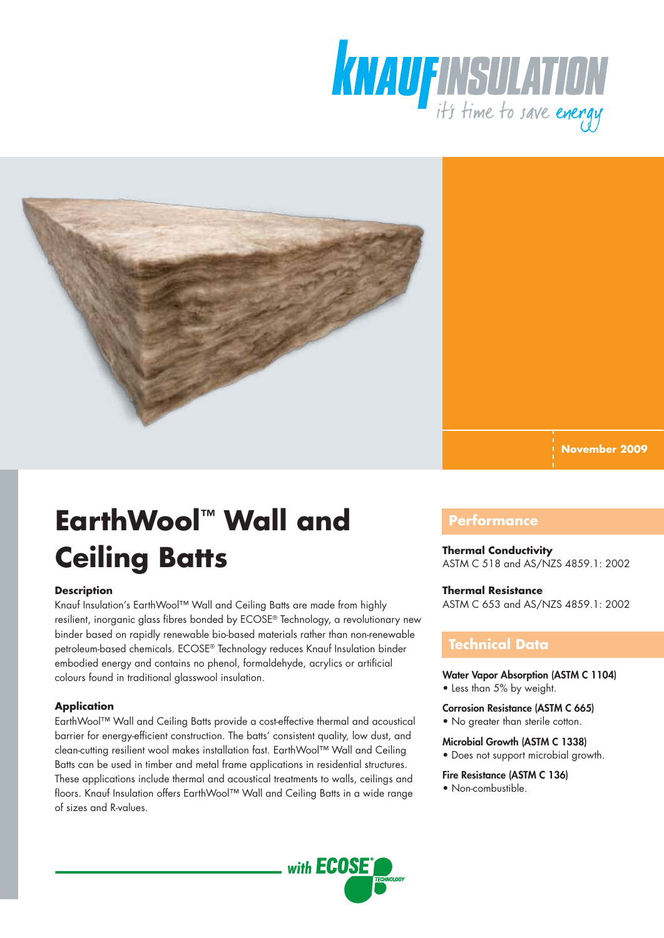



**November 2009**

# **EarthWool™ Wall and Ceiling Batts**

#### **Description**

Knauf Insulation's EarthWool™ Wall and Ceiling Batts are made from highly resilient, inorganic glass fibres bonded by ECOSE® Technology, a revolutionary new binder based on rapidly renewable bio-based materials rather than non-renewable petroleum-based chemicals. ECOSE® Technology reduces Knauf Insulation binder embodied energy and contains no phenol, formaldehyde, acrylics or artificial colours found in traditional glasswool insulation.

#### **Application**

EarthWool™ Wall and Ceiling Batts provide a cost-effective thermal and acoustical barrier for energy-efficient construction. The batts' consistent quality, low dust, and clean-cutting resilient wool makes installation fast. EarthWool™ Wall and Ceiling Batts can be used in timber and metal frame applications in residential structures. These applications include thermal and acoustical treatments to walls, ceilings and floors. Knauf Insulation offers EarthWool™ Wall and Ceiling Batts in a wide range of sizes and R-values.

## **Performance**

## **Thermal Conductivity**

ASTM C 518 and AS/NZS 4859.1: 2002

#### **Thermal Resistance**

ASTM C 653 and AS/NZS 4859.1: 2002

### **Technical Data**

Water Vapor Absorption (ASTM C 1104)

- Less than 5% by weight.
- Corrosion Resistance (ASTM C 665) • No greater than sterile cotton.
- Microbial Growth (ASTM C 1338)
	- Does not support microbial growth.

#### Fire Resistance (ASTM C 136)

• Non-combustible.

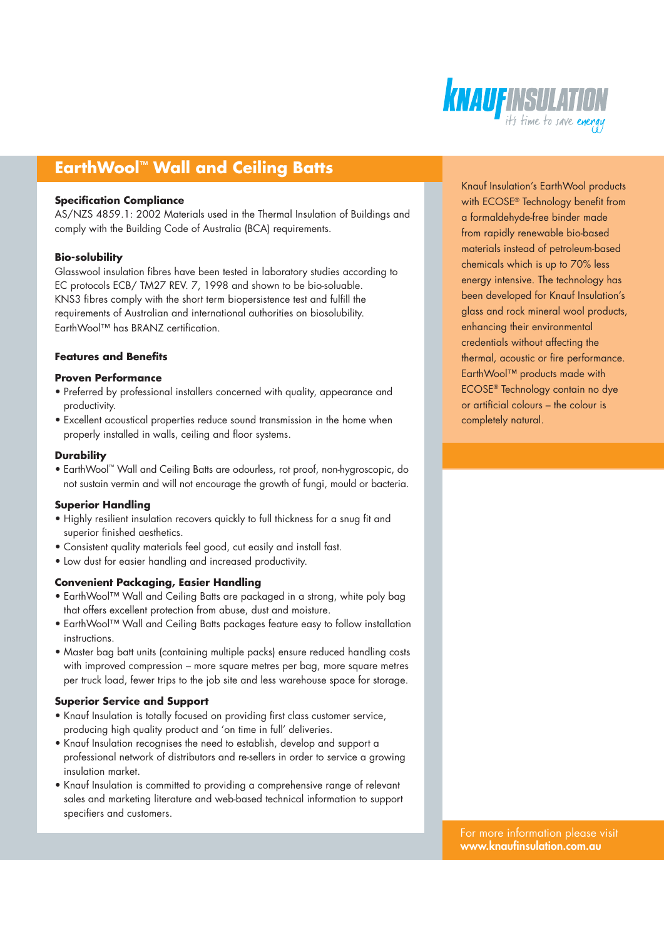

# **EarthWool™ Wall and Ceiling Batts**

#### **Specification Compliance**

AS/NZS 4859.1: 2002 Materials used in the Thermal Insulation of Buildings and comply with the Building Code of Australia (BCA) requirements.

#### **Bio-solubility**

Glasswool insulation fibres have been tested in laboratory studies according to EC protocols ECB/ TM27 REV. 7, 1998 and shown to be bio-soluable. KNS3 fibres comply with the short term biopersistence test and fulfill the requirements of Australian and international authorities on biosolubility. EarthWool™ has BRANZ certification.

#### **Features and Benefits**

#### **Proven Performance**

- Preferred by professional installers concerned with quality, appearance and productivity.
- Excellent acoustical properties reduce sound transmission in the home when properly installed in walls, ceiling and floor systems.

#### **Durability**

• EarthWool™ Wall and Ceiling Batts are odourless, rot proof, non-hygroscopic, do not sustain vermin and will not encourage the growth of fungi, mould or bacteria.

#### **Superior Handling**

- Highly resilient insulation recovers quickly to full thickness for a snug fit and superior finished aesthetics.
- Consistent quality materials feel good, cut easily and install fast.
- Low dust for easier handling and increased productivity.

#### **Convenient Packaging, Easier Handling**

- EarthWool™ Wall and Ceiling Batts are packaged in a strong, white poly bag that offers excellent protection from abuse, dust and moisture.
- EarthWool™ Wall and Ceiling Batts packages feature easy to follow installation instructions.
- Master bag batt units (containing multiple packs) ensure reduced handling costs with improved compression – more square metres per bag, more square metres per truck load, fewer trips to the job site and less warehouse space for storage.

#### **Superior Service and Support**

- Knauf Insulation is totally focused on providing first class customer service, producing high quality product and 'on time in full' deliveries.
- Knauf Insulation recognises the need to establish, develop and support a professional network of distributors and re-sellers in order to service a growing insulation market.
- Knauf Insulation is committed to providing a comprehensive range of relevant sales and marketing literature and web-based technical information to support specifiers and customers.

Knauf Insulation's EarthWool products with ECOSE® Technology benefit from a formaldehyde-free binder made from rapidly renewable bio-based materials instead of petroleum-based chemicals which is up to 70% less energy intensive. The technology has been developed for Knauf Insulation's glass and rock mineral wool products, enhancing their environmental credentials without affecting the thermal, acoustic or fire performance. EarthWool™ products made with ECOSE® Technology contain no dye or artificial colours – the colour is completely natural.

For more information please visit www.knaufinsulation.com.au